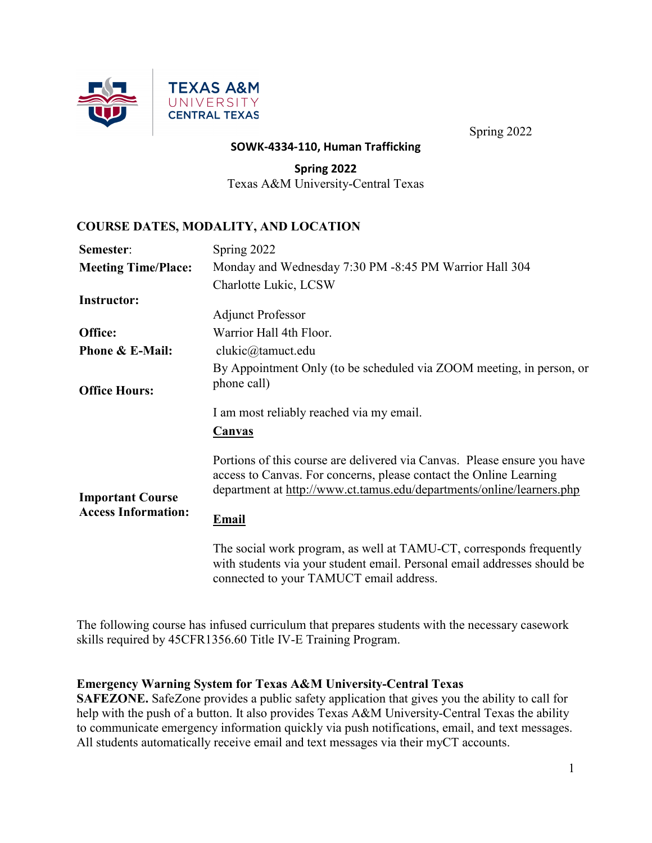

#### **SOWK-4334-110, Human Trafficking**

**Spring 2022** Texas A&M University-Central Texas

#### **COURSE DATES, MODALITY, AND LOCATION**

| Semester:                                             | Spring 2022                                                                                                                                                                                                             |  |  |  |
|-------------------------------------------------------|-------------------------------------------------------------------------------------------------------------------------------------------------------------------------------------------------------------------------|--|--|--|
| <b>Meeting Time/Place:</b>                            | Monday and Wednesday 7:30 PM -8:45 PM Warrior Hall 304                                                                                                                                                                  |  |  |  |
|                                                       | Charlotte Lukic, LCSW                                                                                                                                                                                                   |  |  |  |
| <b>Instructor:</b>                                    |                                                                                                                                                                                                                         |  |  |  |
|                                                       | <b>Adjunct Professor</b>                                                                                                                                                                                                |  |  |  |
| Office:                                               | Warrior Hall 4th Floor.                                                                                                                                                                                                 |  |  |  |
| <b>Phone &amp; E-Mail:</b>                            | clukic@tamuct.edu                                                                                                                                                                                                       |  |  |  |
|                                                       | By Appointment Only (to be scheduled via ZOOM meeting, in person, or                                                                                                                                                    |  |  |  |
| <b>Office Hours:</b>                                  | phone call)                                                                                                                                                                                                             |  |  |  |
|                                                       | I am most reliably reached via my email.                                                                                                                                                                                |  |  |  |
|                                                       | <b>Canvas</b>                                                                                                                                                                                                           |  |  |  |
| <b>Important Course</b><br><b>Access Information:</b> | Portions of this course are delivered via Canvas. Please ensure you have<br>access to Canvas. For concerns, please contact the Online Learning<br>department at http://www.ct.tamus.edu/departments/online/learners.php |  |  |  |
|                                                       | <b>Email</b>                                                                                                                                                                                                            |  |  |  |
|                                                       | The social work program, as well at TAMU-CT, corresponds frequently<br>with students via your student email. Personal email addresses should be                                                                         |  |  |  |

with students via your student email. Personal email addresses should be connected to your TAMUCT email address.

The following course has infused curriculum that prepares students with the necessary casework skills required by 45CFR1356.60 Title IV-E Training Program.

#### **Emergency Warning System for Texas A&M University-Central Texas**

**SAFEZONE.** SafeZone provides a public safety application that gives you the ability to call for help with the push of a button. It also provides Texas A&M University-Central Texas the ability to communicate emergency information quickly via push notifications, email, and text messages. All students automatically receive email and text messages via their myCT accounts.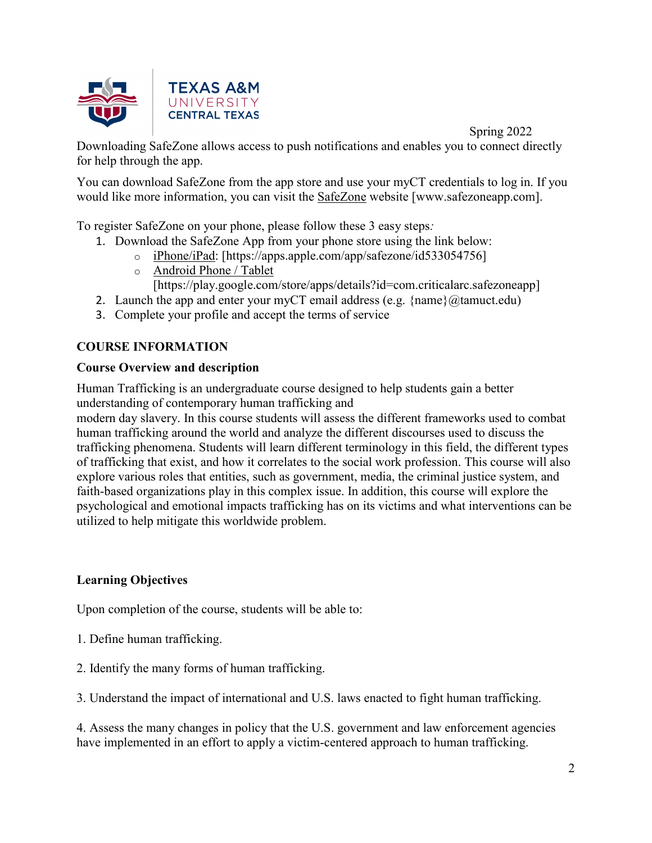

Downloading SafeZone allows access to push notifications and enables you to connect directly for help through the app.

You can download SafeZone from the app store and use your myCT credentials to log in. If you would like more information, you can visit the [SafeZone](http://www.safezoneapp.com/) website [www.safezoneapp.com].

To register SafeZone on your phone, please follow these 3 easy steps*:*

- 1. Download the SafeZone App from your phone store using the link below:
	- o [iPhone/iPad:](https://apps.apple.com/app/safezone/id533054756) [https://apps.apple.com/app/safezone/id533054756]
	- o [Android Phone / Tablet](https://play.google.com/store/apps/details?id=com.criticalarc.safezoneapp)
		- [https://play.google.com/store/apps/details?id=com.criticalarc.safezoneapp]
- 2. Launch the app and enter your myCT email address (e.g.  $\{\text{name}\}\langle\omega\text{tamuct.edu}\rangle$ )
- 3. Complete your profile and accept the terms of service

# **COURSE INFORMATION**

# **Course Overview and description**

Human Trafficking is an undergraduate course designed to help students gain a better understanding of contemporary human trafficking and

modern day slavery. In this course students will assess the different frameworks used to combat human trafficking around the world and analyze the different discourses used to discuss the trafficking phenomena. Students will learn different terminology in this field, the different types of trafficking that exist, and how it correlates to the social work profession. This course will also explore various roles that entities, such as government, media, the criminal justice system, and faith-based organizations play in this complex issue. In addition, this course will explore the psychological and emotional impacts trafficking has on its victims and what interventions can be utilized to help mitigate this worldwide problem.

# **Learning Objectives**

Upon completion of the course, students will be able to:

- 1. Define human trafficking.
- 2. Identify the many forms of human trafficking.
- 3. Understand the impact of international and U.S. laws enacted to fight human trafficking.

4. Assess the many changes in policy that the U.S. government and law enforcement agencies have implemented in an effort to apply a victim-centered approach to human trafficking.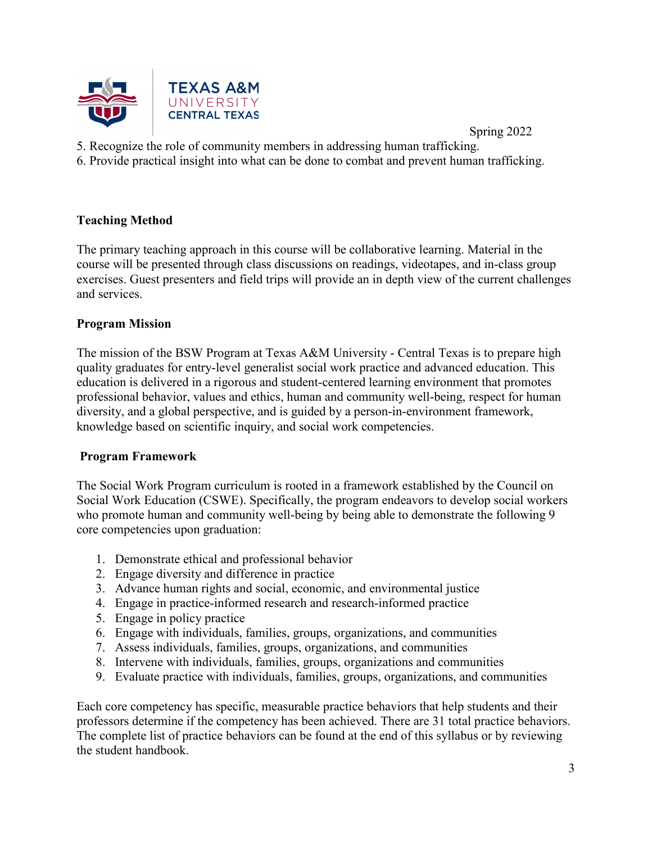

- 5. Recognize the role of community members in addressing human trafficking.
- 6. Provide practical insight into what can be done to combat and prevent human trafficking.

# **Teaching Method**

The primary teaching approach in this course will be collaborative learning. Material in the course will be presented through class discussions on readings, videotapes, and in-class group exercises. Guest presenters and field trips will provide an in depth view of the current challenges and services.

#### **Program Mission**

The mission of the BSW Program at Texas A&M University - Central Texas is to prepare high quality graduates for entry-level generalist social work practice and advanced education. This education is delivered in a rigorous and student-centered learning environment that promotes professional behavior, values and ethics, human and community well-being, respect for human diversity, and a global perspective, and is guided by a person-in-environment framework, knowledge based on scientific inquiry, and social work competencies.

# **Program Framework**

The Social Work Program curriculum is rooted in a framework established by the Council on Social Work Education (CSWE). Specifically, the program endeavors to develop social workers who promote human and community well-being by being able to demonstrate the following 9 core competencies upon graduation:

- 1. Demonstrate ethical and professional behavior
- 2. Engage diversity and difference in practice
- 3. Advance human rights and social, economic, and environmental justice
- 4. Engage in practice-informed research and research-informed practice
- 5. Engage in policy practice
- 6. Engage with individuals, families, groups, organizations, and communities
- 7. Assess individuals, families, groups, organizations, and communities
- 8. Intervene with individuals, families, groups, organizations and communities
- 9. Evaluate practice with individuals, families, groups, organizations, and communities

Each core competency has specific, measurable practice behaviors that help students and their professors determine if the competency has been achieved. There are 31 total practice behaviors. The complete list of practice behaviors can be found at the end of this syllabus or by reviewing the student handbook.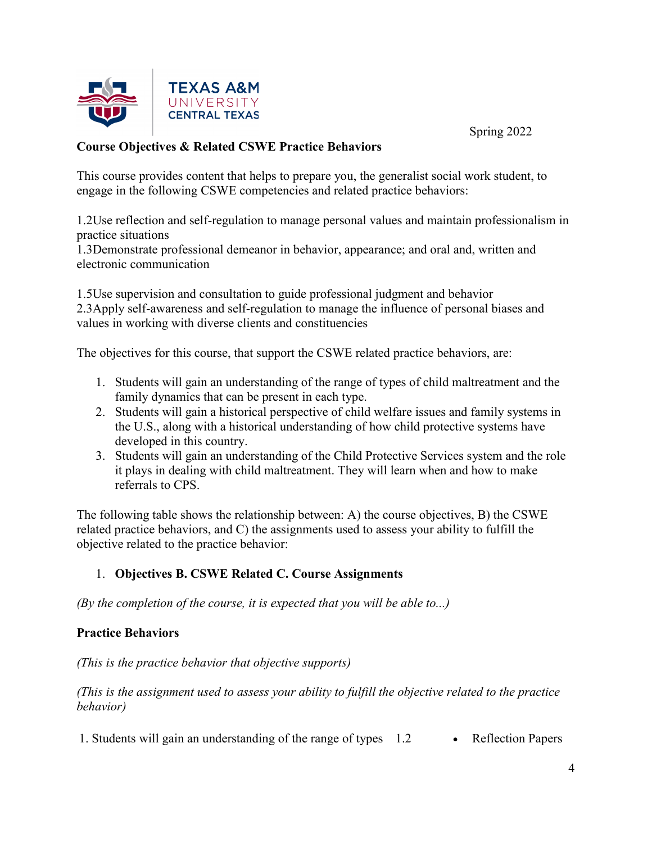



# **Course Objectives & Related CSWE Practice Behaviors**

This course provides content that helps to prepare you, the generalist social work student, to engage in the following CSWE competencies and related practice behaviors:

1.2Use reflection and self-regulation to manage personal values and maintain professionalism in practice situations

1.3Demonstrate professional demeanor in behavior, appearance; and oral and, written and electronic communication

1.5Use supervision and consultation to guide professional judgment and behavior 2.3Apply self-awareness and self-regulation to manage the influence of personal biases and values in working with diverse clients and constituencies

The objectives for this course, that support the CSWE related practice behaviors, are:

- 1. Students will gain an understanding of the range of types of child maltreatment and the family dynamics that can be present in each type.
- 2. Students will gain a historical perspective of child welfare issues and family systems in the U.S., along with a historical understanding of how child protective systems have developed in this country.
- 3. Students will gain an understanding of the Child Protective Services system and the role it plays in dealing with child maltreatment. They will learn when and how to make referrals to CPS.

The following table shows the relationship between: A) the course objectives, B) the CSWE related practice behaviors, and C) the assignments used to assess your ability to fulfill the objective related to the practice behavior:

# 1. **Objectives B. CSWE Related C. Course Assignments**

*(By the completion of the course, it is expected that you will be able to...)*

# **Practice Behaviors**

*(This is the practice behavior that objective supports)*

*(This is the assignment used to assess your ability to fulfill the objective related to the practice behavior)*

1. Students will gain an understanding of the range of types 1.2 • Reflection Papers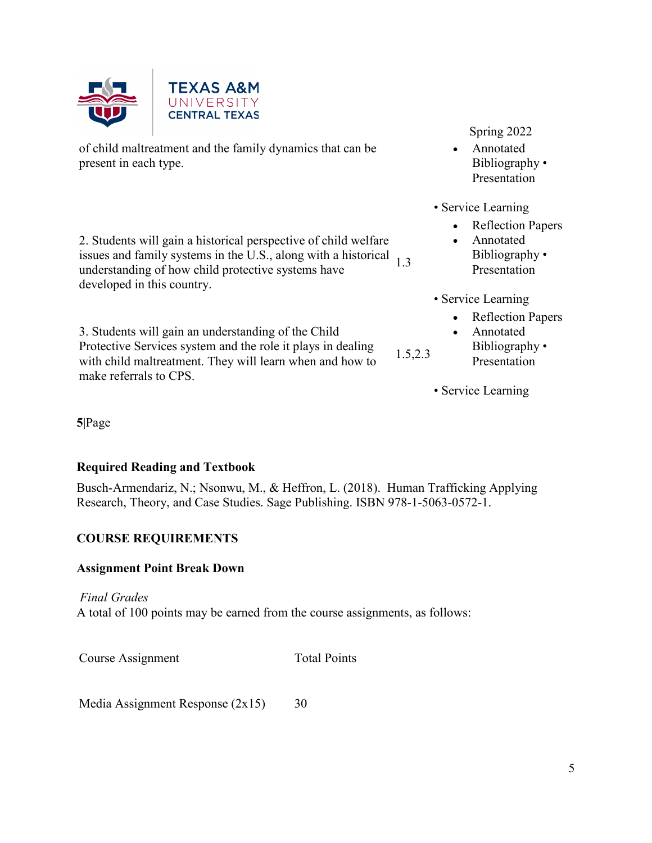

of child maltreatment and the family dynamics that can be present in each type.

2. Students will gain a historical perspective of child welfare issues and family systems in the U.S., along with a historical 1.3 understanding of how child protective systems have developed in this country.

3. Students will gain an understanding of the Child Protective Services system and the role it plays in dealing with child maltreatment. They will learn when and how to make referrals to CPS.

Spring 2022

- Annotated Bibliography • Presentation
- Service Learning
	- Reflection Papers
	- Annotated
	- Bibliography Presentation
- Service Learning
	- Reflection Papers
	- Annotated Bibliography •
		- Presentation
- Service Learning

1.5,2.3

**5|**Page

# **Required Reading and Textbook**

Busch-Armendariz, N.; Nsonwu, M., & Heffron, L. (2018). Human Trafficking Applying Research, Theory, and Case Studies. Sage Publishing. ISBN 978-1-5063-0572-1.

# **COURSE REQUIREMENTS**

# **Assignment Point Break Down**

*Final Grades*

A total of 100 points may be earned from the course assignments, as follows:

Course Assignment Total Points

Media Assignment Response (2x15) 30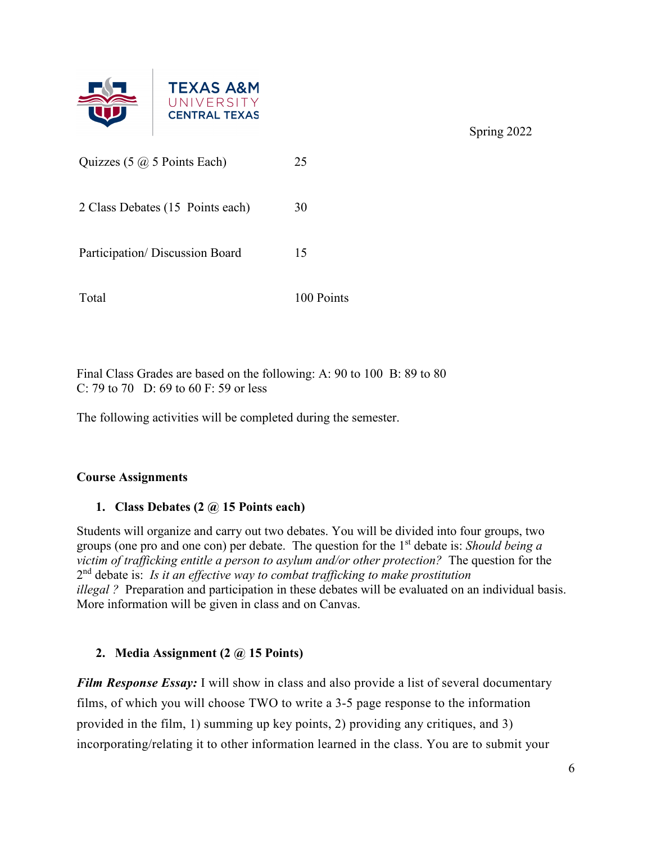

| Quizzes $(5 \omega)$ 5 Points Each) | 25         |
|-------------------------------------|------------|
| 2 Class Debates (15 Points each)    | 30         |
| Participation/Discussion Board      | 15         |
| Total                               | 100 Points |

Final Class Grades are based on the following: A: 90 to 100 B: 89 to 80 C: 79 to 70 D: 69 to 60 F: 59 or less

The following activities will be completed during the semester.

# **Course Assignments**

# **1. Class Debates (2 @ 15 Points each)**

Students will organize and carry out two debates. You will be divided into four groups, two groups (one pro and one con) per debate. The question for the 1st debate is: *Should being a victim of trafficking entitle a person to asylum and/or other protection?* The question for the 2nd debate is: *Is it an effective way to combat trafficking to make prostitution illegal ?* Preparation and participation in these debates will be evaluated on an individual basis. More information will be given in class and on Canvas.

# **2. Media Assignment (2 @ 15 Points)**

*Film Response Essay:* I will show in class and also provide a list of several documentary films, of which you will choose TWO to write a 3-5 page response to the information provided in the film, 1) summing up key points, 2) providing any critiques, and 3) incorporating/relating it to other information learned in the class. You are to submit your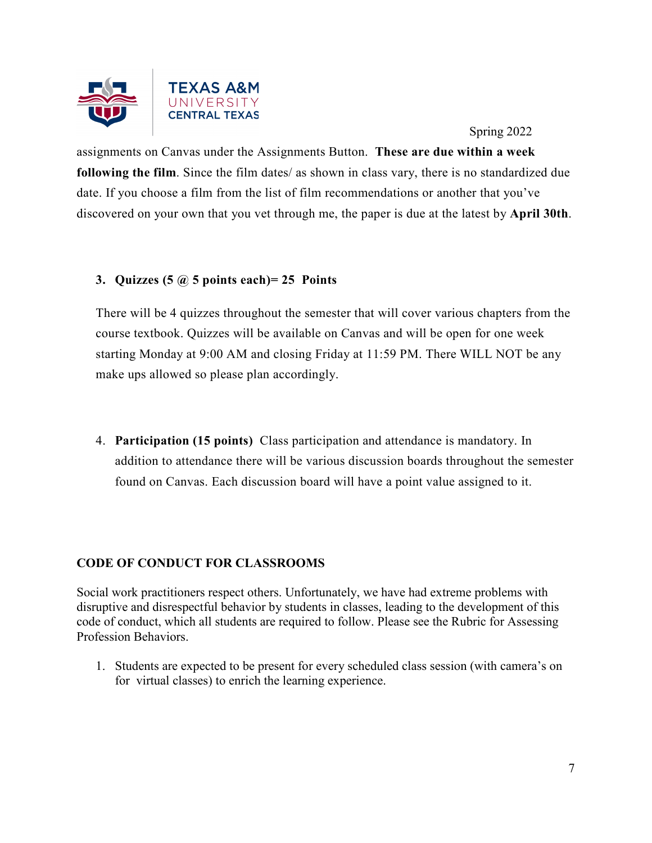

assignments on Canvas under the Assignments Button. **These are due within a week following the film**. Since the film dates/ as shown in class vary, there is no standardized due date. If you choose a film from the list of film recommendations or another that you've discovered on your own that you vet through me, the paper is due at the latest by **April 30th**.

# **3. Quizzes (5 @ 5 points each)= 25 Points**

There will be 4 quizzes throughout the semester that will cover various chapters from the course textbook. Quizzes will be available on Canvas and will be open for one week starting Monday at 9:00 AM and closing Friday at 11:59 PM. There WILL NOT be any make ups allowed so please plan accordingly.

4. **Participation (15 points)** Class participation and attendance is mandatory. In addition to attendance there will be various discussion boards throughout the semester found on Canvas. Each discussion board will have a point value assigned to it.

# **CODE OF CONDUCT FOR CLASSROOMS**

Social work practitioners respect others. Unfortunately, we have had extreme problems with disruptive and disrespectful behavior by students in classes, leading to the development of this code of conduct, which all students are required to follow. Please see the Rubric for Assessing Profession Behaviors.

1. Students are expected to be present for every scheduled class session (with camera's on for virtual classes) to enrich the learning experience.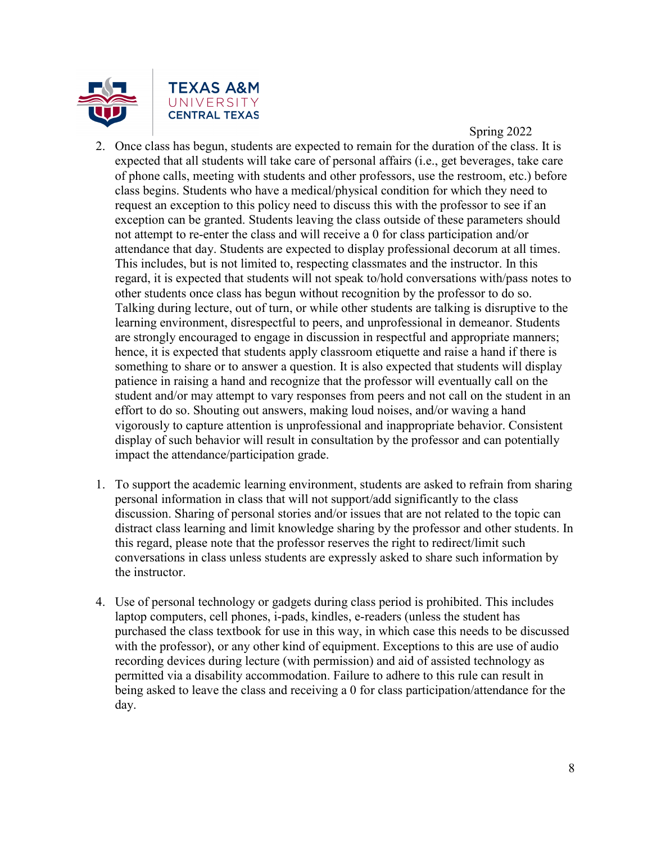

- 2. Once class has begun, students are expected to remain for the duration of the class. It is expected that all students will take care of personal affairs (i.e., get beverages, take care of phone calls, meeting with students and other professors, use the restroom, etc.) before class begins. Students who have a medical/physical condition for which they need to request an exception to this policy need to discuss this with the professor to see if an exception can be granted. Students leaving the class outside of these parameters should not attempt to re-enter the class and will receive a 0 for class participation and/or attendance that day. Students are expected to display professional decorum at all times. This includes, but is not limited to, respecting classmates and the instructor. In this regard, it is expected that students will not speak to/hold conversations with/pass notes to other students once class has begun without recognition by the professor to do so. Talking during lecture, out of turn, or while other students are talking is disruptive to the learning environment, disrespectful to peers, and unprofessional in demeanor. Students are strongly encouraged to engage in discussion in respectful and appropriate manners; hence, it is expected that students apply classroom etiquette and raise a hand if there is something to share or to answer a question. It is also expected that students will display patience in raising a hand and recognize that the professor will eventually call on the student and/or may attempt to vary responses from peers and not call on the student in an effort to do so. Shouting out answers, making loud noises, and/or waving a hand vigorously to capture attention is unprofessional and inappropriate behavior. Consistent display of such behavior will result in consultation by the professor and can potentially impact the attendance/participation grade.
- 1. To support the academic learning environment, students are asked to refrain from sharing personal information in class that will not support/add significantly to the class discussion. Sharing of personal stories and/or issues that are not related to the topic can distract class learning and limit knowledge sharing by the professor and other students. In this regard, please note that the professor reserves the right to redirect/limit such conversations in class unless students are expressly asked to share such information by the instructor.
- 4. Use of personal technology or gadgets during class period is prohibited. This includes laptop computers, cell phones, i-pads, kindles, e-readers (unless the student has purchased the class textbook for use in this way, in which case this needs to be discussed with the professor), or any other kind of equipment. Exceptions to this are use of audio recording devices during lecture (with permission) and aid of assisted technology as permitted via a disability accommodation. Failure to adhere to this rule can result in being asked to leave the class and receiving a 0 for class participation/attendance for the day.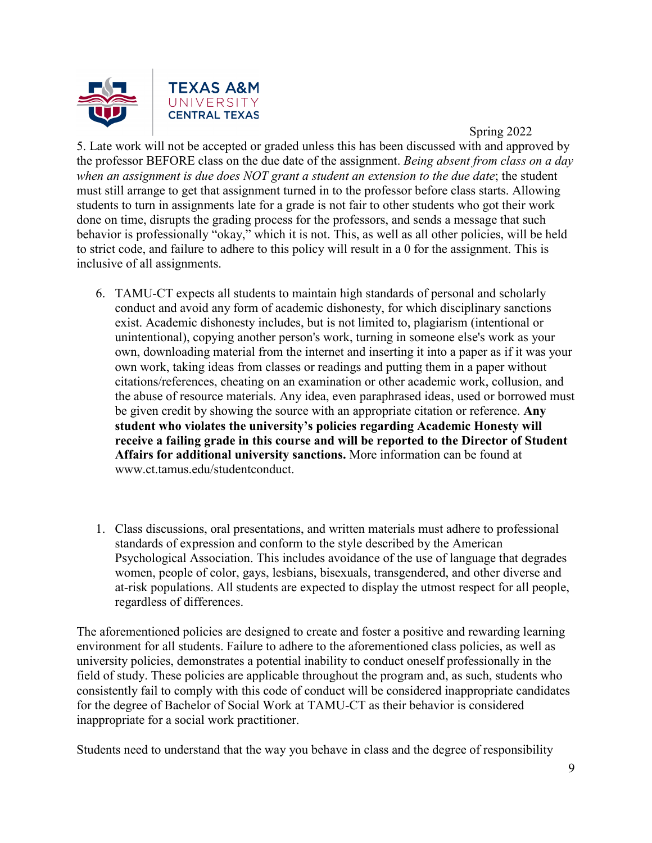

5. Late work will not be accepted or graded unless this has been discussed with and approved by the professor BEFORE class on the due date of the assignment. *Being absent from class on a day when an assignment is due does NOT grant a student an extension to the due date*; the student must still arrange to get that assignment turned in to the professor before class starts. Allowing students to turn in assignments late for a grade is not fair to other students who got their work done on time, disrupts the grading process for the professors, and sends a message that such behavior is professionally "okay," which it is not. This, as well as all other policies, will be held to strict code, and failure to adhere to this policy will result in a 0 for the assignment. This is inclusive of all assignments.

- 6. TAMU-CT expects all students to maintain high standards of personal and scholarly conduct and avoid any form of academic dishonesty, for which disciplinary sanctions exist. Academic dishonesty includes, but is not limited to, plagiarism (intentional or unintentional), copying another person's work, turning in someone else's work as your own, downloading material from the internet and inserting it into a paper as if it was your own work, taking ideas from classes or readings and putting them in a paper without citations/references, cheating on an examination or other academic work, collusion, and the abuse of resource materials. Any idea, even paraphrased ideas, used or borrowed must be given credit by showing the source with an appropriate citation or reference. **Any student who violates the university's policies regarding Academic Honesty will receive a failing grade in this course and will be reported to the Director of Student Affairs for additional university sanctions.** More information can be found at www.ct.tamus.edu/studentconduct.
- 1. Class discussions, oral presentations, and written materials must adhere to professional standards of expression and conform to the style described by the American Psychological Association. This includes avoidance of the use of language that degrades women, people of color, gays, lesbians, bisexuals, transgendered, and other diverse and at-risk populations. All students are expected to display the utmost respect for all people, regardless of differences.

The aforementioned policies are designed to create and foster a positive and rewarding learning environment for all students. Failure to adhere to the aforementioned class policies, as well as university policies, demonstrates a potential inability to conduct oneself professionally in the field of study. These policies are applicable throughout the program and, as such, students who consistently fail to comply with this code of conduct will be considered inappropriate candidates for the degree of Bachelor of Social Work at TAMU-CT as their behavior is considered inappropriate for a social work practitioner.

Students need to understand that the way you behave in class and the degree of responsibility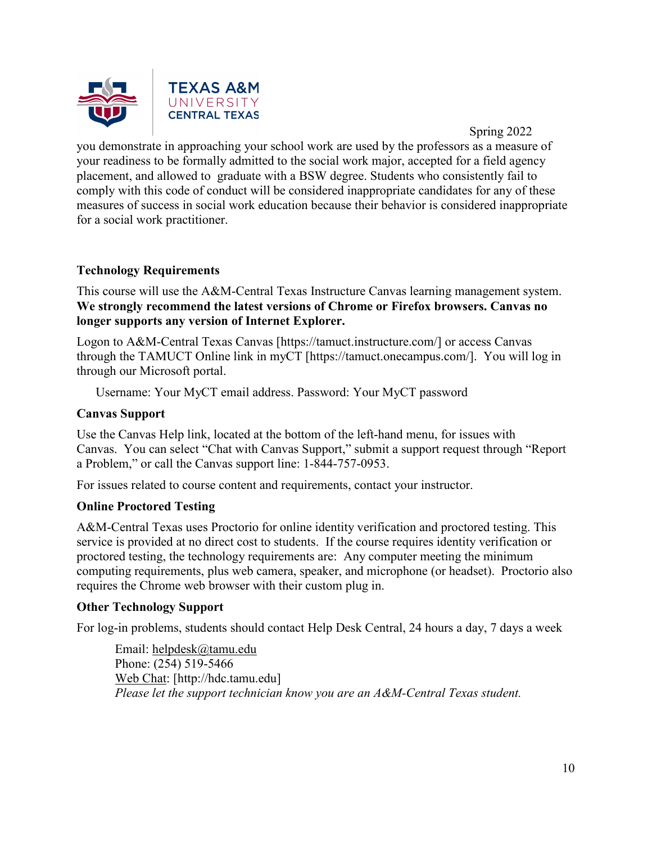

you demonstrate in approaching your school work are used by the professors as a measure of your readiness to be formally admitted to the social work major, accepted for a field agency placement, and allowed to graduate with a BSW degree. Students who consistently fail to comply with this code of conduct will be considered inappropriate candidates for any of these measures of success in social work education because their behavior is considered inappropriate for a social work practitioner.

# **Technology Requirements**

This course will use the A&M-Central Texas Instructure Canvas learning management system. **We strongly recommend the latest versions of Chrome or Firefox browsers. Canvas no longer supports any version of Internet Explorer.**

Logon to A&M-Central Texas Canvas [https://tamuct.instructure.com/] or access Canvas through the TAMUCT Online link in myCT [https://tamuct.onecampus.com/]. You will log in through our Microsoft portal.

Username: Your MyCT email address. Password: Your MyCT password

#### **Canvas Support**

Use the Canvas Help link, located at the bottom of the left-hand menu, for issues with Canvas. You can select "Chat with Canvas Support," submit a support request through "Report a Problem," or call the Canvas support line: 1-844-757-0953.

For issues related to course content and requirements, contact your instructor.

#### **Online Proctored Testing**

A&M-Central Texas uses Proctorio for online identity verification and proctored testing. This service is provided at no direct cost to students. If the course requires identity verification or proctored testing, the technology requirements are: Any computer meeting the minimum computing requirements, plus web camera, speaker, and microphone (or headset). Proctorio also requires the Chrome web browser with their custom plug in.

#### **Other Technology Support**

For log-in problems, students should contact Help Desk Central, 24 hours a day, 7 days a week

Email: [helpdesk@tamu.edu](mailto:helpdesk@tamu.edu) Phone: (254) 519-5466 [Web Chat:](http://hdc.tamu.edu/) [http://hdc.tamu.edu] *Please let the support technician know you are an A&M-Central Texas student.*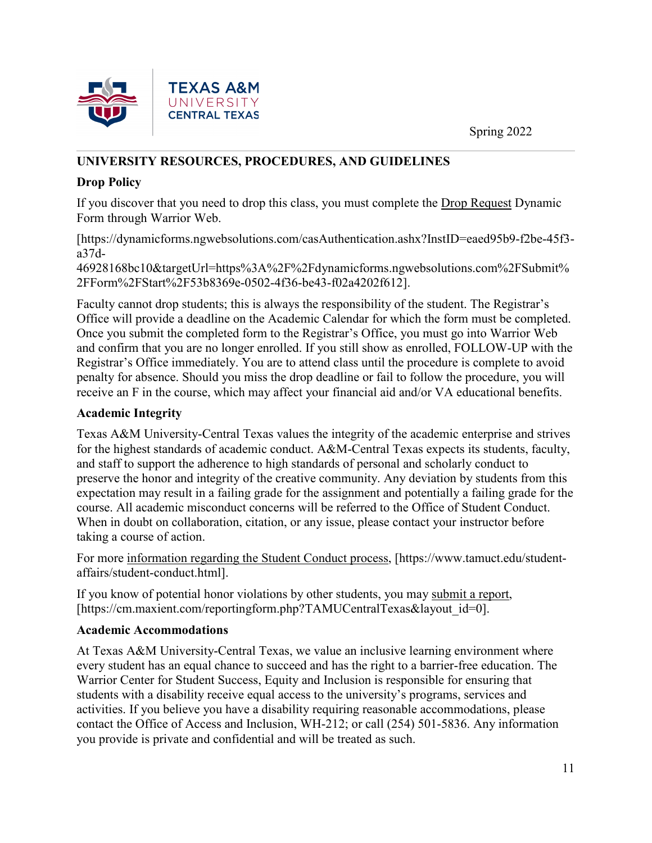

# **UNIVERSITY RESOURCES, PROCEDURES, AND GUIDELINES**

# **Drop Policy**

If you discover that you need to drop this class, you must complete the [Drop Request](https://dynamicforms.ngwebsolutions.com/casAuthentication.ashx?InstID=eaed95b9-f2be-45f3-a37d-46928168bc10&targetUrl=https%3A%2F%2Fdynamicforms.ngwebsolutions.com%2FSubmit%2FForm%2FStart%2F53b8369e-0502-4f36-be43-f02a4202f612) Dynamic Form through Warrior Web.

[https://dynamicforms.ngwebsolutions.com/casAuthentication.ashx?InstID=eaed95b9-f2be-45f3 a37d-

46928168bc10&targetUrl=https%3A%2F%2Fdynamicforms.ngwebsolutions.com%2FSubmit% 2FForm%2FStart%2F53b8369e-0502-4f36-be43-f02a4202f612].

Faculty cannot drop students; this is always the responsibility of the student. The Registrar's Office will provide a deadline on the Academic Calendar for which the form must be completed. Once you submit the completed form to the Registrar's Office, you must go into Warrior Web and confirm that you are no longer enrolled. If you still show as enrolled, FOLLOW-UP with the Registrar's Office immediately. You are to attend class until the procedure is complete to avoid penalty for absence. Should you miss the drop deadline or fail to follow the procedure, you will receive an F in the course, which may affect your financial aid and/or VA educational benefits.

# **Academic Integrity**

Texas A&M University-Central Texas values the integrity of the academic enterprise and strives for the highest standards of academic conduct. A&M-Central Texas expects its students, faculty, and staff to support the adherence to high standards of personal and scholarly conduct to preserve the honor and integrity of the creative community. Any deviation by students from this expectation may result in a failing grade for the assignment and potentially a failing grade for the course. All academic misconduct concerns will be referred to the Office of Student Conduct. When in doubt on collaboration, citation, or any issue, please contact your instructor before taking a course of action.

For more [information](https://nam04.safelinks.protection.outlook.com/?url=https%3A%2F%2Fwww.tamuct.edu%2Fstudent-affairs%2Fstudent-conduct.html&data=04%7C01%7Clisa.bunkowski%40tamuct.edu%7Ccfb6e486f24745f53e1a08d910055cb2%7C9eed4e3000f744849ff193ad8005acec%7C0%7C0%7C637558437485252160%7CUnknown%7CTWFpbGZsb3d8eyJWIjoiMC4wLjAwMDAiLCJQIjoiV2luMzIiLCJBTiI6Ik1haWwiLCJXVCI6Mn0%3D%7C1000&sdata=yjftDEVHvLX%2FhM%2FcFU0B99krV1RgEWR%2BJ%2BhvtoR6TYk%3D&reserved=0) regarding the Student Conduct process, [https://www.tamuct.edu/studentaffairs/student-conduct.html].

If you know of potential honor violations by other students, you may [submit](https://nam04.safelinks.protection.outlook.com/?url=https%3A%2F%2Fcm.maxient.com%2Freportingform.php%3FTAMUCentralTexas%26layout_id%3D0&data=04%7C01%7Clisa.bunkowski%40tamuct.edu%7Ccfb6e486f24745f53e1a08d910055cb2%7C9eed4e3000f744849ff193ad8005acec%7C0%7C0%7C637558437485262157%7CUnknown%7CTWFpbGZsb3d8eyJWIjoiMC4wLjAwMDAiLCJQIjoiV2luMzIiLCJBTiI6Ik1haWwiLCJXVCI6Mn0%3D%7C1000&sdata=CXGkOa6uPDPX1IMZ87z3aZDq2n91xfHKu4MMS43Ejjk%3D&reserved=0) a report, [https://cm.maxient.com/reportingform.php?TAMUCentralTexas&layout\_id=0].

# **Academic Accommodations**

At Texas A&M University-Central Texas, we value an inclusive learning environment where every student has an equal chance to succeed and has the right to a barrier-free education. The Warrior Center for Student Success, Equity and Inclusion is responsible for ensuring that students with a disability receive equal access to the university's programs, services and activities. If you believe you have a disability requiring reasonable accommodations, please contact the Office of Access and Inclusion, WH-212; or call (254) 501-5836. Any information you provide is private and confidential and will be treated as such.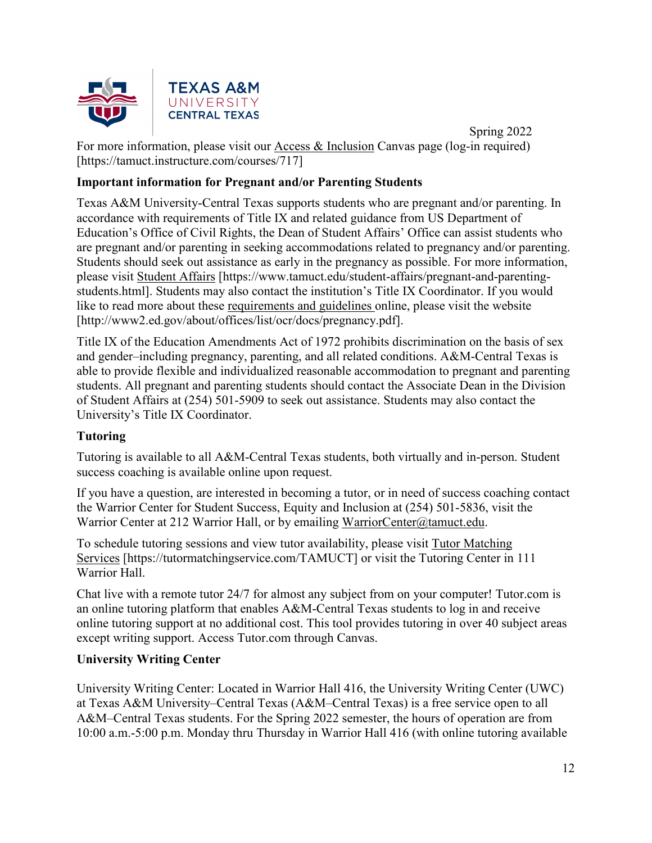

 Spring 2022 For more information, please visit our [Access & Inclusion](https://tamuct.instructure.com/courses/717) Canvas page (log-in required) [https://tamuct.instructure.com/courses/717]

# **Important information for Pregnant and/or Parenting Students**

Texas A&M University-Central Texas supports students who are pregnant and/or parenting. In accordance with requirements of Title IX and related guidance from US Department of Education's Office of Civil Rights, the Dean of Student Affairs' Office can assist students who are pregnant and/or parenting in seeking accommodations related to pregnancy and/or parenting. Students should seek out assistance as early in the pregnancy as possible. For more information, please visit [Student Affairs](https://www.tamuct.edu/student-affairs/pregnant-and-parenting-students.html) [https://www.tamuct.edu/student-affairs/pregnant-and-parentingstudents.html]. Students may also contact the institution's Title IX Coordinator. If you would like to read more about these [requirements and guidelines](http://www2.ed.gov/about/offices/list/ocr/docs/pregnancy.pdf) online, please visit the website [http://www2.ed.gov/about/offices/list/ocr/docs/pregnancy.pdf].

Title IX of the Education Amendments Act of 1972 prohibits discrimination on the basis of sex and gender–including pregnancy, parenting, and all related conditions. A&M-Central Texas is able to provide flexible and individualized reasonable accommodation to pregnant and parenting students. All pregnant and parenting students should contact the Associate Dean in the Division of Student Affairs at (254) 501-5909 to seek out assistance. Students may also contact the University's Title IX Coordinator.

# **Tutoring**

Tutoring is available to all A&M-Central Texas students, both virtually and in-person. Student success coaching is available online upon request.

If you have a question, are interested in becoming a tutor, or in need of success coaching contact the Warrior Center for Student Success, Equity and Inclusion at (254) 501-5836, visit the Warrior Center at 212 Warrior Hall, or by emailing [WarriorCenter@tamuct.edu.](mailto:WarriorCenter@tamuct.edu)

To schedule tutoring sessions and view tutor availability, please visit Tutor [Matching](https://nam04.safelinks.protection.outlook.com/?url=http%3A%2F%2Fwww.tutormatchingservices.com%2FTAMUCT&data=04%7C01%7Clisa.bunkowski%40tamuct.edu%7C886784139069461670c308d9aa01f55e%7C9eed4e3000f744849ff193ad8005acec%7C0%7C0%7C637727747643427346%7CUnknown%7CTWFpbGZsb3d8eyJWIjoiMC4wLjAwMDAiLCJQIjoiV2luMzIiLCJBTiI6Ik1haWwiLCJXVCI6Mn0%3D%7C3000&sdata=D%2F8HN2bUT1lLPfs5qSqKYlwh8a7pZVy7isM2gppluQE%3D&reserved=0) [Services](https://nam04.safelinks.protection.outlook.com/?url=http%3A%2F%2Fwww.tutormatchingservices.com%2FTAMUCT&data=04%7C01%7Clisa.bunkowski%40tamuct.edu%7C886784139069461670c308d9aa01f55e%7C9eed4e3000f744849ff193ad8005acec%7C0%7C0%7C637727747643427346%7CUnknown%7CTWFpbGZsb3d8eyJWIjoiMC4wLjAwMDAiLCJQIjoiV2luMzIiLCJBTiI6Ik1haWwiLCJXVCI6Mn0%3D%7C3000&sdata=D%2F8HN2bUT1lLPfs5qSqKYlwh8a7pZVy7isM2gppluQE%3D&reserved=0) [https://tutormatchingservice.com/TAMUCT] or visit the Tutoring Center in 111 Warrior Hall.

Chat live with a remote tutor 24/7 for almost any subject from on your computer! Tutor.com is an online tutoring platform that enables A&M-Central Texas students to log in and receive online tutoring support at no additional cost. This tool provides tutoring in over 40 subject areas except writing support. Access Tutor.com through Canvas.

# **University Writing Center**

University Writing Center: Located in Warrior Hall 416, the University Writing Center (UWC) at Texas A&M University–Central Texas (A&M–Central Texas) is a free service open to all A&M–Central Texas students. For the Spring 2022 semester, the hours of operation are from 10:00 a.m.-5:00 p.m. Monday thru Thursday in Warrior Hall 416 (with online tutoring available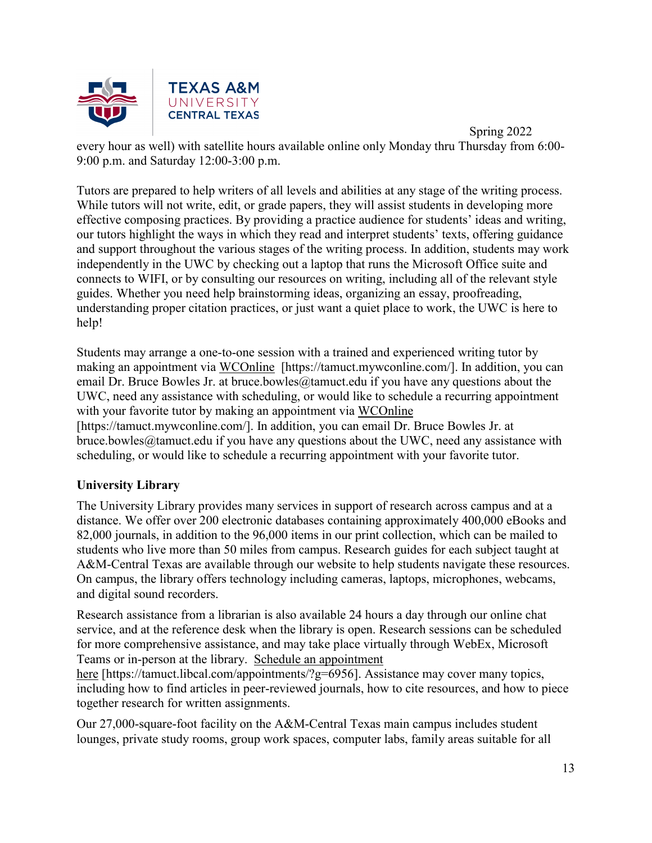

 Spring 2022 every hour as well) with satellite hours available online only Monday thru Thursday from 6:00- 9:00 p.m. and Saturday 12:00-3:00 p.m.

Tutors are prepared to help writers of all levels and abilities at any stage of the writing process. While tutors will not write, edit, or grade papers, they will assist students in developing more effective composing practices. By providing a practice audience for students' ideas and writing, our tutors highlight the ways in which they read and interpret students' texts, offering guidance and support throughout the various stages of the writing process. In addition, students may work independently in the UWC by checking out a laptop that runs the Microsoft Office suite and connects to WIFI, or by consulting our resources on writing, including all of the relevant style guides. Whether you need help brainstorming ideas, organizing an essay, proofreading, understanding proper citation practices, or just want a quiet place to work, the UWC is here to help!

Students may arrange a one-to-one session with a trained and experienced writing tutor by making an appointment via [WCOnline](https://tamuct.mywconline.com/) [https://tamuct.mywconline.com/]. In addition, you can email Dr. Bruce Bowles Jr. at bruce.bowles@tamuct.edu if you have any questions about the UWC, need any assistance with scheduling, or would like to schedule a recurring appointment with your favorite tutor by making an appointment via [WCOnline](https://tamuct.mywconline.com/) [https://tamuct.mywconline.com/]. In addition, you can email Dr. Bruce Bowles Jr. at bruce.bowles@tamuct.edu if you have any questions about the UWC, need any assistance with scheduling, or would like to schedule a recurring appointment with your favorite tutor.

# **University Library**

The University Library provides many services in support of research across campus and at a distance. We offer over 200 electronic databases containing approximately 400,000 eBooks and 82,000 journals, in addition to the 96,000 items in our print collection, which can be mailed to students who live more than 50 miles from campus. Research guides for each subject taught at A&M-Central Texas are available through our website to help students navigate these resources. On campus, the library offers technology including cameras, laptops, microphones, webcams, and digital sound recorders.

Research assistance from a librarian is also available 24 hours a day through our online chat service, and at the reference desk when the library is open. Research sessions can be scheduled for more comprehensive assistance, and may take place virtually through WebEx, Microsoft Teams or in-person at the library. Schedule an [appointment](https://nam04.safelinks.protection.outlook.com/?url=https%3A%2F%2Ftamuct.libcal.com%2Fappointments%2F%3Fg%3D6956&data=04%7C01%7Clisa.bunkowski%40tamuct.edu%7Cde2c07d9f5804f09518008d9ab7ba6ff%7C9eed4e3000f744849ff193ad8005acec%7C0%7C0%7C637729369835011558%7CUnknown%7CTWFpbGZsb3d8eyJWIjoiMC4wLjAwMDAiLCJQIjoiV2luMzIiLCJBTiI6Ik1haWwiLCJXVCI6Mn0%3D%7C3000&sdata=KhtjgRSAw9aq%2FoBsB6wyu8b7PSuGN5EGPypzr3Ty2No%3D&reserved=0)

[here](https://nam04.safelinks.protection.outlook.com/?url=https%3A%2F%2Ftamuct.libcal.com%2Fappointments%2F%3Fg%3D6956&data=04%7C01%7Clisa.bunkowski%40tamuct.edu%7Cde2c07d9f5804f09518008d9ab7ba6ff%7C9eed4e3000f744849ff193ad8005acec%7C0%7C0%7C637729369835011558%7CUnknown%7CTWFpbGZsb3d8eyJWIjoiMC4wLjAwMDAiLCJQIjoiV2luMzIiLCJBTiI6Ik1haWwiLCJXVCI6Mn0%3D%7C3000&sdata=KhtjgRSAw9aq%2FoBsB6wyu8b7PSuGN5EGPypzr3Ty2No%3D&reserved=0) [https://tamuct.libcal.com/appointments/?g=6956]. Assistance may cover many topics, including how to find articles in peer-reviewed journals, how to cite resources, and how to piece together research for written assignments.

Our 27,000-square-foot facility on the A&M-Central Texas main campus includes student lounges, private study rooms, group work spaces, computer labs, family areas suitable for all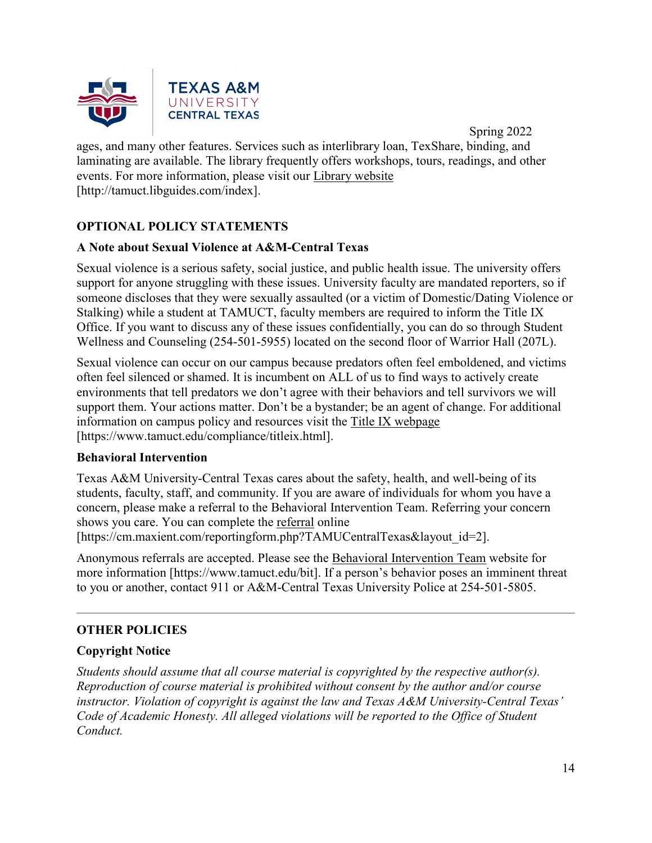

 Spring 2022 ages, and many other features. Services such as interlibrary loan, TexShare, binding, and laminating are available. The library frequently offers workshops, tours, readings, and other events. For more information, please visit our Library [website](https://nam04.safelinks.protection.outlook.com/?url=https%3A%2F%2Ftamuct.libguides.com%2Findex&data=04%7C01%7Clisa.bunkowski%40tamuct.edu%7C7d8489e8839a4915335f08d916f067f2%7C9eed4e3000f744849ff193ad8005acec%7C0%7C0%7C637566044056484222%7CUnknown%7CTWFpbGZsb3d8eyJWIjoiMC4wLjAwMDAiLCJQIjoiV2luMzIiLCJBTiI6Ik1haWwiLCJXVCI6Mn0%3D%7C1000&sdata=2R755V6rcIyedGrd4Os5rkgn1PvhHKU3kUV1vBKiHFo%3D&reserved=0) [http://tamuct.libguides.com/index].

# **OPTIONAL POLICY STATEMENTS**

# **A Note about Sexual Violence at A&M-Central Texas**

Sexual violence is a serious safety, social justice, and public health issue. The university offers support for anyone struggling with these issues. University faculty are mandated reporters, so if someone discloses that they were sexually assaulted (or a victim of Domestic/Dating Violence or Stalking) while a student at TAMUCT, faculty members are required to inform the Title IX Office. If you want to discuss any of these issues confidentially, you can do so through Student Wellness and Counseling (254-501-5955) located on the second floor of Warrior Hall (207L).

Sexual violence can occur on our campus because predators often feel emboldened, and victims often feel silenced or shamed. It is incumbent on ALL of us to find ways to actively create environments that tell predators we don't agree with their behaviors and tell survivors we will support them. Your actions matter. Don't be a bystander; be an agent of change. For additional information on campus policy and resources visit the [Title IX webpage](https://www.tamuct.edu/compliance/titleix.html) [\[https://www.tamuct.edu/compliance/titleix.html\]](https://www.tamuct.edu/compliance/titleix.html).

# **Behavioral Intervention**

Texas A&M University-Central Texas cares about the safety, health, and well-being of its students, faculty, staff, and community. If you are aware of individuals for whom you have a concern, please make a referral to the Behavioral Intervention Team. Referring your concern shows you care. You can complete the [referral](https://cm.maxient.com/reportingform.php?TAMUCentralTexas&layout_id=2) online [https://cm.maxient.com/reportingform.php?TAMUCentralTexas&layout\_id=2].

Anonymous referrals are accepted. Please see the [Behavioral Intervention Team](https://www.tamuct.edu/bit) website for more information [https://www.tamuct.edu/bit]. If a person's behavior poses an imminent threat to you or another, contact 911 or A&M-Central Texas University Police at 254-501-5805.

# **OTHER POLICIES**

# **Copyright Notice**

*Students should assume that all course material is copyrighted by the respective author(s). Reproduction of course material is prohibited without consent by the author and/or course instructor. Violation of copyright is against the law and Texas A&M University-Central Texas' Code of Academic Honesty. All alleged violations will be reported to the Office of Student Conduct.*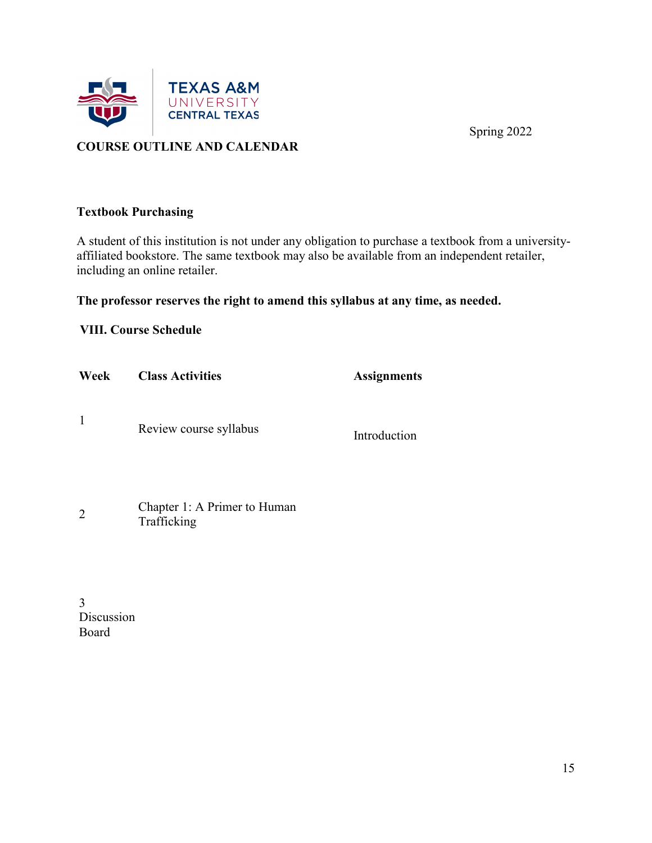

# **COURSE OUTLINE AND CALENDAR**

#### **Textbook Purchasing**

A student of this institution is not under any obligation to purchase a textbook from a universityaffiliated bookstore. The same textbook may also be available from an independent retailer, including an online retailer.

# **The professor reserves the right to amend this syllabus at any time, as needed.**

# **VIII. Course Schedule**

| Week         | <b>Class Activities</b> | <b>Assignments</b> |
|--------------|-------------------------|--------------------|
| $\mathbf{1}$ | Review course syllabus  | Introduction       |
|              |                         |                    |

| $\overline{2}$ | Chapter 1: A Primer to Human |
|----------------|------------------------------|
|                | Trafficking                  |

3 Discussion Board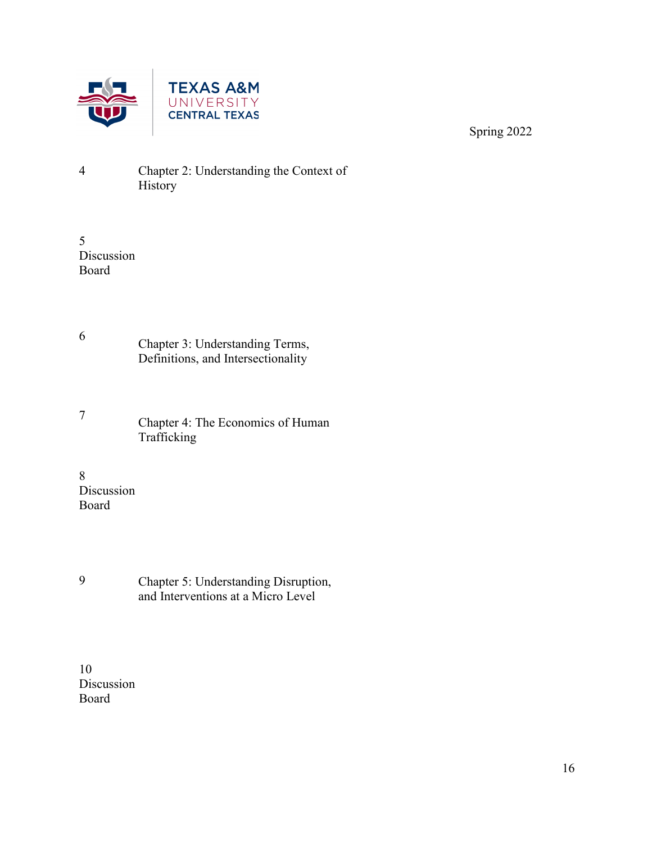

- 4 Chapter 2: Understanding the Context of History
- 5 Discussion Board
- <sup>6</sup> Chapter 3: Understanding Terms, Definitions, and Intersectionality
- <sup>7</sup> Chapter 4: The Economics of Human Trafficking
- 8 Discussion Board
- 9 Chapter 5: Understanding Disruption, and Interventions at a Micro Level
- 10 Discussion Board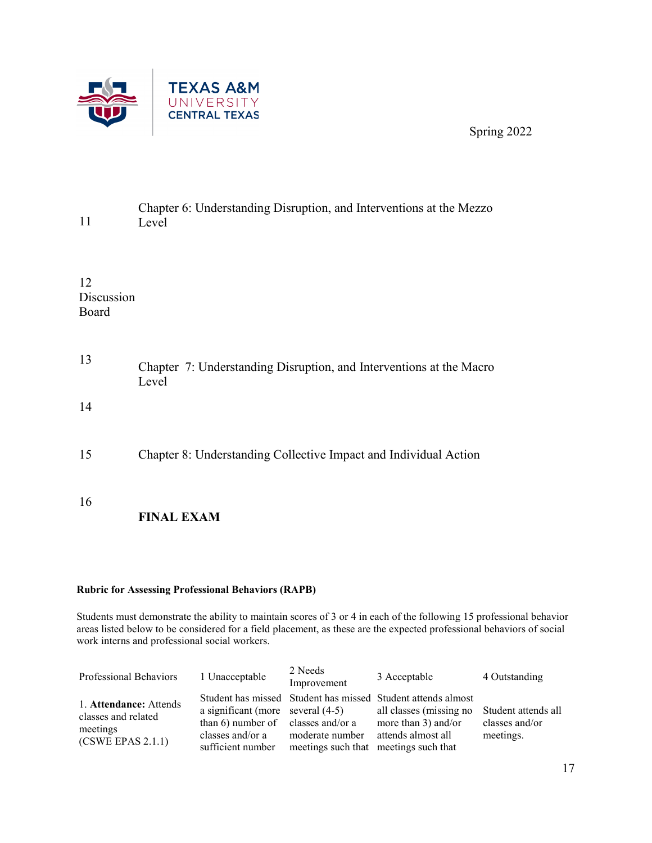

| 11                        | Chapter 6: Understanding Disruption, and Interventions at the Mezzo<br>Level |
|---------------------------|------------------------------------------------------------------------------|
| 12<br>Discussion<br>Board |                                                                              |
| 13                        | Chapter 7: Understanding Disruption, and Interventions at the Macro<br>Level |
| 14                        |                                                                              |
| 15                        | Chapter 8: Understanding Collective Impact and Individual Action             |
| 16                        | <b>FINAL EXAM</b>                                                            |

#### **Rubric for Assessing Professional Behaviors (RAPB)**

Students must demonstrate the ability to maintain scores of 3 or 4 in each of the following 15 professional behavior areas listed below to be considered for a field placement, as these are the expected professional behaviors of social work interns and professional social workers.

| Professional Behaviors                                                         | 1 Unacceptable                                                                                                       | 2 Needs<br>Improvement                                   | 3 Acceptable                                                                                                                         | 4 Outstanding                                      |
|--------------------------------------------------------------------------------|----------------------------------------------------------------------------------------------------------------------|----------------------------------------------------------|--------------------------------------------------------------------------------------------------------------------------------------|----------------------------------------------------|
| 1. Attendance: Attends<br>classes and related<br>meetings<br>(CSWE EPAS 2.1.1) | a significant (more several $(4-5)$ )<br>than 6) number of classes and/or a<br>classes and/or a<br>sufficient number | moderate number<br>meetings such that meetings such that | Student has missed Student has missed Student attends almost<br>all classes (missing no<br>more than 3) and/or<br>attends almost all | Student attends all<br>classes and/or<br>meetings. |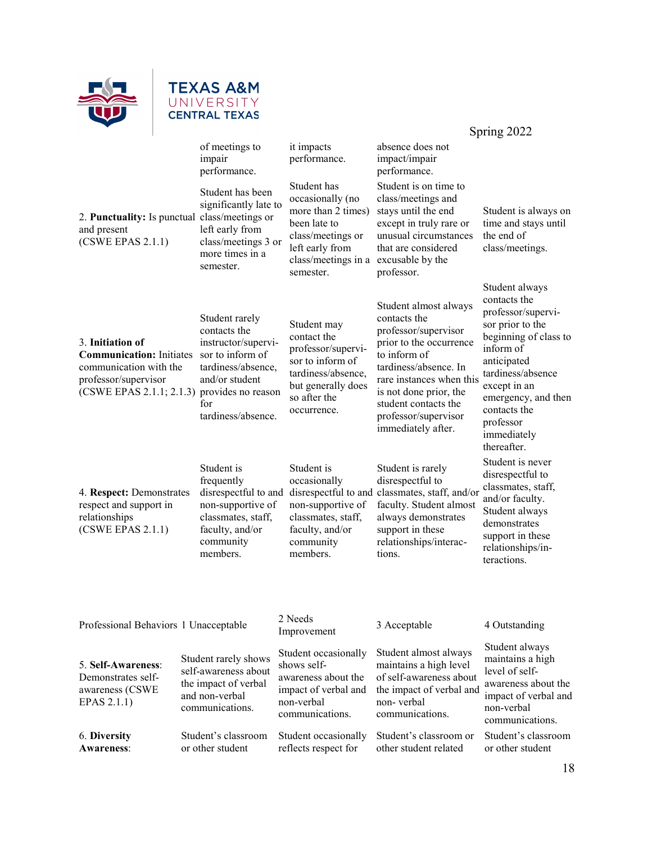

# **TEXAS A&M**<br>UNIVERSITY<br>CENTRAL TEXAS

|                                                                                                                                   |                                                                                                                                                                      |                                                                                                                                                   |                                                                                                                                                                                                                                                               | Spring 2022                                                                                                                                                                                                                                          |
|-----------------------------------------------------------------------------------------------------------------------------------|----------------------------------------------------------------------------------------------------------------------------------------------------------------------|---------------------------------------------------------------------------------------------------------------------------------------------------|---------------------------------------------------------------------------------------------------------------------------------------------------------------------------------------------------------------------------------------------------------------|------------------------------------------------------------------------------------------------------------------------------------------------------------------------------------------------------------------------------------------------------|
|                                                                                                                                   | of meetings to<br>impair<br>performance.                                                                                                                             | it impacts<br>performance.                                                                                                                        | absence does not<br>impact/impair<br>performance.                                                                                                                                                                                                             |                                                                                                                                                                                                                                                      |
| and present<br>(CSWE EPAS 2.1.1)                                                                                                  | Student has been<br>significantly late to<br>2. Punctuality: Is punctual class/meetings or<br>left early from<br>class/meetings 3 or<br>more times in a<br>semester. | Student has<br>occasionally (no<br>more than 2 times)<br>been late to<br>class/meetings or<br>left early from<br>class/meetings in a<br>semester. | Student is on time to<br>class/meetings and<br>stays until the end<br>except in truly rare or<br>unusual circumstances<br>that are considered<br>excusable by the<br>professor.                                                                               | Student is always on<br>time and stays until<br>the end of<br>class/meetings.                                                                                                                                                                        |
| 3. Initiation of<br><b>Communication:</b> Initiates<br>communication with the<br>professor/supervisor<br>(CSWE EPAS 2.1.1; 2.1.3) | Student rarely<br>contacts the<br>instructor/supervi-<br>sor to inform of<br>tardiness/absence.<br>and/or student<br>provides no reason<br>for<br>tardiness/absence. | Student may<br>contact the<br>professor/supervi-<br>sor to inform of<br>tardiness/absence,<br>but generally does<br>so after the<br>occurrence.   | Student almost always<br>contacts the<br>professor/supervisor<br>prior to the occurrence<br>to inform of<br>tardiness/absence. In<br>rare instances when this<br>is not done prior, the<br>student contacts the<br>professor/supervisor<br>immediately after. | Student always<br>contacts the<br>professor/supervi-<br>sor prior to the<br>beginning of class to<br>inform of<br>anticipated<br>tardiness/absence<br>except in an<br>emergency, and then<br>contacts the<br>professor<br>immediately<br>thereafter. |
| 4. Respect: Demonstrates<br>respect and support in<br>relationships<br>(CSWE EPAS 2.1.1)                                          | Student is<br>frequently<br>disrespectful to and<br>non-supportive of<br>classmates, staff,<br>faculty, and/or<br>community<br>members.                              | Student is<br>occasionally<br>non-supportive of<br>classmates, staff,<br>faculty, and/or<br>community<br>members.                                 | Student is rarely<br>disrespectful to<br>disrespectful to and classmates, staff, and/or<br>faculty. Student almost<br>always demonstrates<br>support in these<br>relationships/interac-<br>tions.                                                             | Student is never<br>disrespectful to<br>classmates, staff,<br>and/or faculty.<br>Student always<br>demonstrates<br>support in these<br>relationships/in-<br>teractions.                                                                              |
|                                                                                                                                   |                                                                                                                                                                      |                                                                                                                                                   |                                                                                                                                                                                                                                                               |                                                                                                                                                                                                                                                      |
| Professional Behaviors 1 Unacceptable                                                                                             |                                                                                                                                                                      | 2 Needs<br>Improvement                                                                                                                            | 3 Acceptable                                                                                                                                                                                                                                                  | 4 Outstanding                                                                                                                                                                                                                                        |
| 5. Self-Awareness:<br>Demonstrates self-<br>awareness (CSWE<br>EPAS 2.1.1)                                                        | Student rarely shows<br>self-awareness about<br>the impact of verbal<br>and non-verbal<br>communications.                                                            | Student occasionally<br>shows self-<br>awareness about the<br>impact of verbal and<br>non-verbal<br>communications.                               | Student almost always<br>maintains a high level<br>of self-awareness about<br>the impact of verbal and<br>non-verbal<br>communications.                                                                                                                       | Student always<br>maintains a high<br>level of self-<br>awareness about the<br>impact of verbal and<br>non-verbal<br>communications.                                                                                                                 |
| 6. Diversity<br><b>Awareness:</b>                                                                                                 | Student's classroom<br>or other student                                                                                                                              | Student occasionally<br>reflects respect for                                                                                                      | Student's classroom or<br>other student related                                                                                                                                                                                                               | Student's classroom<br>or other student                                                                                                                                                                                                              |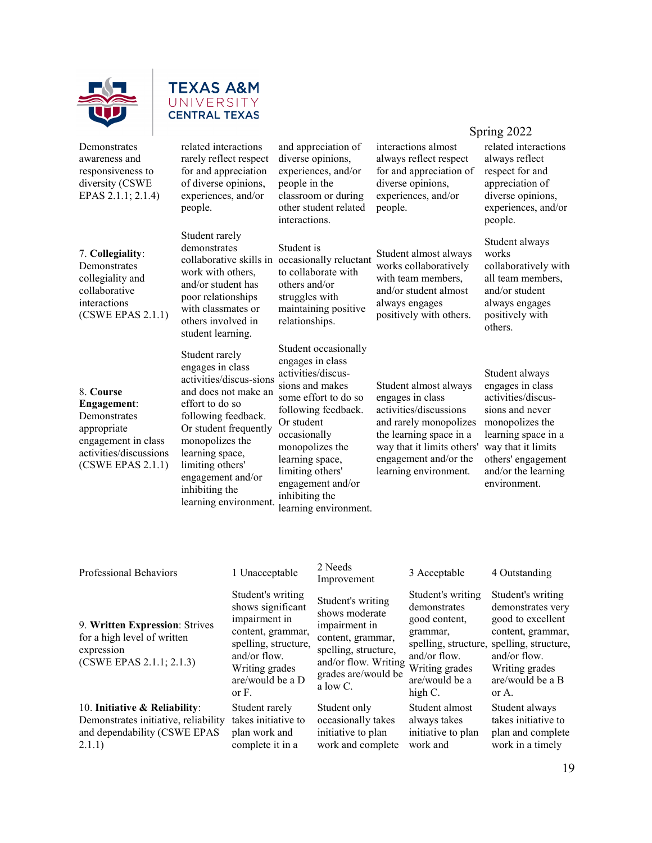



people.

Student rarely demonstrates

work with others, and/or student has poor relationships with classmates or others involved in student learning.

Student rarely engages in class activities/discus-sions and does not make an effort to do so following feedback. Or student frequently monopolizes the learning space, limiting others' engagement and/or inhibiting the learning environment.

related interactions rarely reflect respect for and appreciation of diverse opinions, experiences, and/or

Demonstrates awareness and responsiveness to diversity (CSWE EPAS 2.1.1; 2.1.4)

#### 7. **Collegiality**:

Demonstrates collegiality and collaborative interactions (CSWE EPAS 2.1.1)

#### 8. **Course**

**Engagement**: Demonstrates appropriate engagement in class activities/discussions (CSWE EPAS 2.1.1) and appreciation of diverse opinions, experiences, and/or people in the classroom or during other student related interactions.

collaborative skills in occasionally reluctant Student is to collaborate with others and/or struggles with maintaining positive relationships.

> Student occasionally engages in class activities/discussions and makes some effort to do so following feedback. Or student occasionally monopolizes the learning space, limiting others' engagement and/or inhibiting the learning environment.

interactions almost always reflect respect for and appreciation of diverse opinions, experiences, and/or people.

Student almost always works collaboratively with team members, and/or student almost always engages positively with others.

#### Student almost always engages in class activities/discussions and rarely monopolizes the learning space in a way that it limits others' engagement and/or the learning environment.

#### Spring 2022

related interactions always reflect respect for and appreciation of diverse opinions, experiences, and/or people.

Student always works collaboratively with all team members, and/or student always engages positively with others.

Student always engages in class activities/discussions and never monopolizes the learning space in a way that it limits others' engagement and/or the learning environment.

| Professional Behaviors                                                                                          | 1 Unacceptable                                                                                                                                                         | 2 Needs<br>Improvement                                                                                                                                       | 3 Acceptable                                                                                                                                          | 4 Outstanding                                                                                                                                                           |
|-----------------------------------------------------------------------------------------------------------------|------------------------------------------------------------------------------------------------------------------------------------------------------------------------|--------------------------------------------------------------------------------------------------------------------------------------------------------------|-------------------------------------------------------------------------------------------------------------------------------------------------------|-------------------------------------------------------------------------------------------------------------------------------------------------------------------------|
| 9. Written Expression: Strives<br>for a high level of written<br>expression<br>(CSWE EPAS 2.1.1; 2.1.3)         | Student's writing<br>shows significant<br>impairment in<br>content, grammar,<br>spelling, structure,<br>and/or flow.<br>Writing grades<br>are/would be a D<br>or $F$ . | Student's writing<br>shows moderate<br>impairment in<br>content, grammar,<br>spelling, structure,<br>and/or flow. Writing<br>grades are/would be<br>a low C. | Student's writing<br>demonstrates<br>good content,<br>grammar,<br>spelling, structure,<br>and/or flow.<br>Writing grades<br>are/would be a<br>high C. | Student's writing<br>demonstrates very<br>good to excellent<br>content, grammar,<br>spelling, structure,<br>and/or flow.<br>Writing grades<br>are/would be a B<br>or A. |
| 10. Initiative & Reliability:<br>Demonstrates initiative, reliability<br>and dependability (CSWE EPAS<br>2.1.1) | Student rarely<br>takes initiative to<br>plan work and<br>complete it in a                                                                                             | Student only<br>occasionally takes<br>initiative to plan<br>work and complete                                                                                | Student almost<br>always takes<br>initiative to plan<br>work and                                                                                      | Student always<br>takes initiative to<br>plan and complete<br>work in a timely                                                                                          |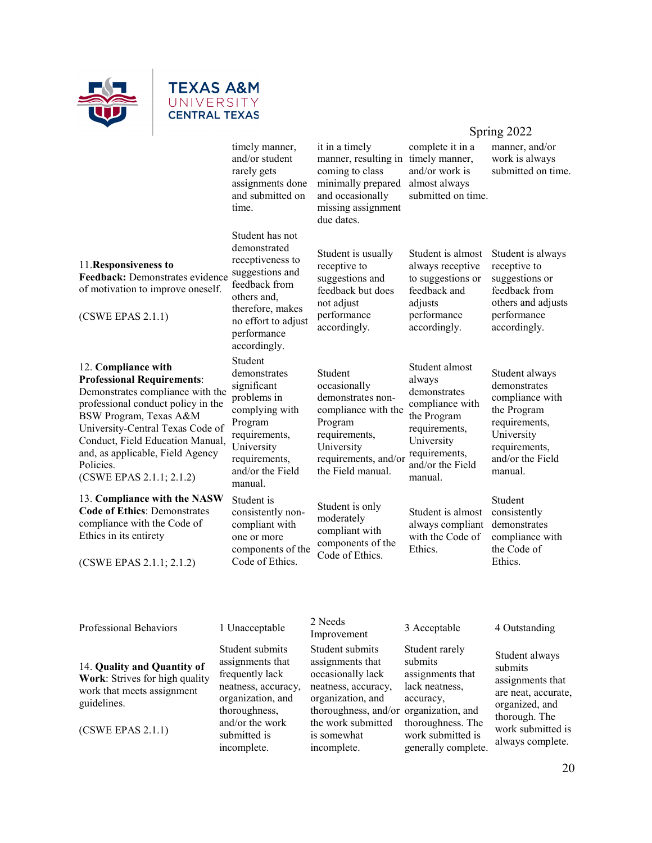

# **TEXAS A&M** UNIVERSITY **CENTRAL TEXAS**

timely manner, and/or student rarely gets assignments done and submitted on time.

#### 11.**Responsiveness to**

**Feedback:** Demonstrates evidence of motivation to improve oneself.

(CSWE EPAS 2.1.1)

#### 12. **Compliance with Professional Requirements**:

Demonstrates compliance with the professional conduct policy in the BSW Program, Texas A&M University-Central Texas Code of Conduct, Field Education Manual, and, as applicable, Field Agency Policies. (CSWE EPAS 2.1.1; 2.1.2)

13. **Compliance with the NASW Code of Ethics**: Demonstrates compliance with the Code of Ethics in its entirety

(CSWE EPAS 2.1.1; 2.1.2)

Student has not demonstrated receptiveness to suggestions and feedback from others and, therefore, makes no effort to adjust performance accordingly. Student demonstrates significant problems in complying with Program requirements, University requirements, and/or the Field manual.

Student is consistently noncompliant with one or more components of the Code of Ethics.

it in a timely manner, resulting in timely manner, coming to class minimally prepared and occasionally missing assignment due dates.

Student is usually receptive to suggestions and feedback but does not adjust performance accordingly.

Student occasionally demonstrates noncompliance with the Program requirements, University requirements, and/or the Field manual.

Student is only moderately compliant with components of the Code of Ethics.

complete it in a and/or work is almost always submitted on time.

Student is almost always receptive to suggestions or feedback and adjusts performance accordingly.

Student almost always demonstrates compliance with the Program requirements, University requirements, and/or the Field manual.

Student is almost always compliant with the Code of Ethics.

accordingly. Student always demonstrates compliance with the Program requirements,

requirements, and/or the Field manual. Student consistently

University

demonstrates compliance with the Code of Ethics.

Professional Behaviors 1 Unacceptable 2 Needs<br>Improvement

14. **Quality and Quantity of Work**: Strives for high quality work that meets assignment guidelines.

(CSWE EPAS 2.1.1)

Student submits

assignments that frequently lack neatness, accuracy, organization, and thoroughness, and/or the work submitted is incomplete.

Student submits assignments that occasionally lack neatness, accuracy, organization, and thoroughness, and/or organization, and the work submitted is somewhat incomplete.

3 Acceptable 4 Outstanding

Student rarely submits assignments that lack neatness, accuracy, thoroughness. The work submitted is generally complete.

Student always submits assignments that are neat, accurate, organized, and thorough. The work submitted is always complete.

# Spring 2022

manner, and/or work is always submitted on time.

Student is always receptive to suggestions or feedback from others and adjusts performance

20